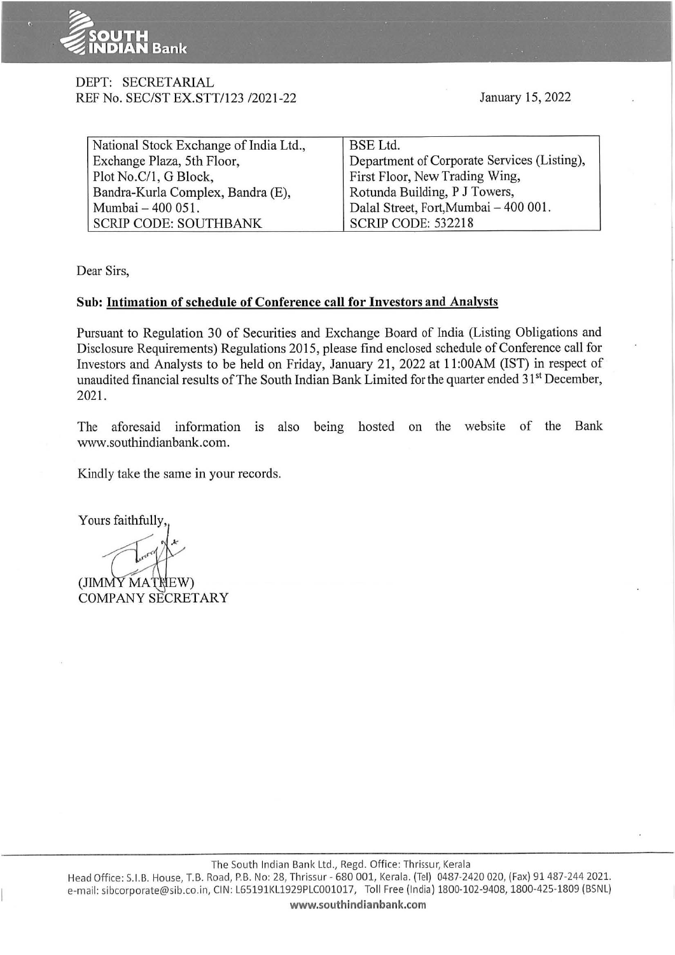

#### DEPT: SECRETARIAL REF No. SEC/ST EX.STT/123 /2021-22

January 15, 2022

| National Stock Exchange of India Ltd., | BSE Ltd.                                    |
|----------------------------------------|---------------------------------------------|
| Exchange Plaza, 5th Floor,             | Department of Corporate Services (Listing), |
| Plot No.C/1, G Block,                  | First Floor, New Trading Wing,              |
| Bandra-Kurla Complex, Bandra (E),      | Rotunda Building, P J Towers,               |
| Mumbai - 400 051.                      | Dalal Street, Fort, Mumbai - 400 001.       |
| <b>SCRIP CODE: SOUTHBANK</b>           | <b>SCRIP CODE: 532218</b>                   |

Dear Sirs,

#### **Sub: Intimation of schedule of Conference call for Investors and Analysts**

Pursuant to Regulation 30 of Securities and Exchange Board of India (Listing Obligations and Disclosure Requirements) Regulations 2015, please find enclosed schedule of Conference call for Investors and Analysts to be held on Friday, January 21, 2022 at 11 :00AM (IST) in respect of unaudited financial results of The South Indian Bank Limited for the quarter ended 31<sup>st</sup> December, 2021.

The aforesaid information is also being hosted on the website of the Bank www.southindianbank.com.

Kindly take the same in your records.

Yours faithfully,

(JIMMY MATNEW) COMPANY SECRETARY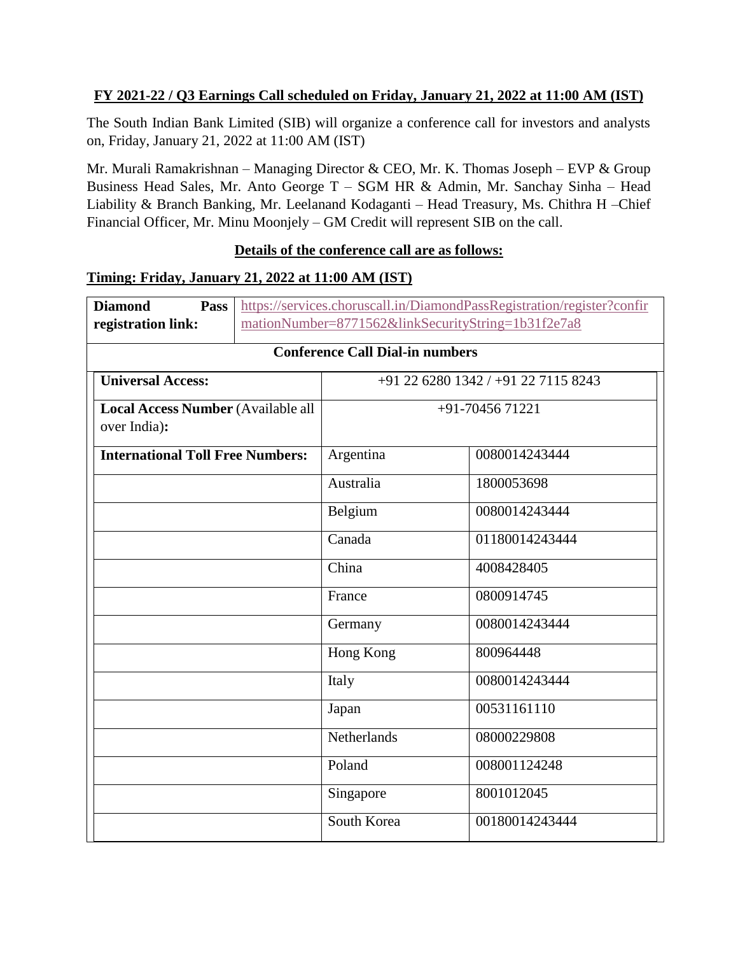## **FY 2021-22 / Q3 Earnings Call scheduled on Friday, January 21, 2022 at 11:00 AM (IST)**

The South Indian Bank Limited (SIB) will organize a conference call for investors and analysts on, Friday, January 21, 2022 at 11:00 AM (IST)

Mr. Murali Ramakrishnan – Managing Director & CEO, Mr. K. Thomas Joseph – EVP & Group Business Head Sales, Mr. Anto George T – SGM HR & Admin, Mr. Sanchay Sinha – Head Liability & Branch Banking, Mr. Leelanand Kodaganti – Head Treasury, Ms. Chithra H –Chief Financial Officer, Mr. Minu Moonjely – GM Credit will represent SIB on the call.

#### **Details of the conference call are as follows:**

## **Timing: Friday, January 21, 2022 at 11:00 AM (IST)**

| <b>Diamond</b><br>Pass                                    |  | https://services.choruscall.in/DiamondPassRegistration/register?confir |                |  |  |
|-----------------------------------------------------------|--|------------------------------------------------------------------------|----------------|--|--|
| registration link:                                        |  | mationNumber=8771562&linkSecurityString=1b31f2e7a8                     |                |  |  |
| <b>Conference Call Dial-in numbers</b>                    |  |                                                                        |                |  |  |
| <b>Universal Access:</b>                                  |  | +91 22 6280 1342 / +91 22 7115 8243                                    |                |  |  |
| <b>Local Access Number (Available all</b><br>over India): |  | $+91-7045671221$                                                       |                |  |  |
| <b>International Toll Free Numbers:</b>                   |  | Argentina                                                              | 0080014243444  |  |  |
|                                                           |  | Australia                                                              | 1800053698     |  |  |
|                                                           |  | Belgium                                                                | 0080014243444  |  |  |
|                                                           |  | Canada                                                                 | 01180014243444 |  |  |
|                                                           |  | China                                                                  | 4008428405     |  |  |
|                                                           |  | France                                                                 | 0800914745     |  |  |
|                                                           |  | Germany                                                                | 0080014243444  |  |  |
|                                                           |  | Hong Kong                                                              | 800964448      |  |  |
|                                                           |  | Italy                                                                  | 0080014243444  |  |  |
|                                                           |  | Japan                                                                  | 00531161110    |  |  |
|                                                           |  | Netherlands                                                            | 08000229808    |  |  |
|                                                           |  | Poland                                                                 | 008001124248   |  |  |
|                                                           |  | Singapore                                                              | 8001012045     |  |  |
|                                                           |  | South Korea                                                            | 00180014243444 |  |  |